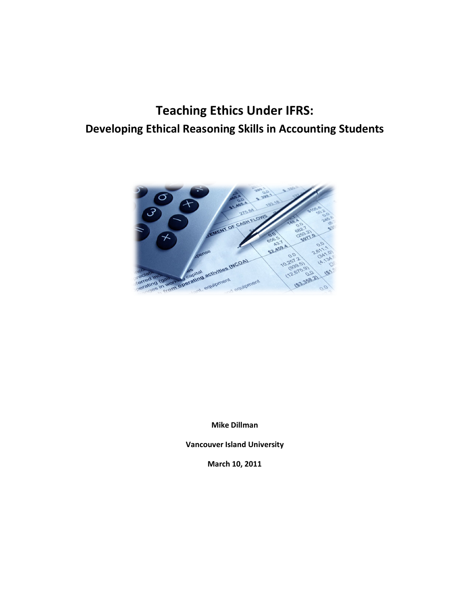# **Teaching Ethics Under IFRS: Developing Ethical Reasoning Skills in Accounting Students**



**Mike Dillman** 

**Vancouver Island University** 

**March 10, 2011**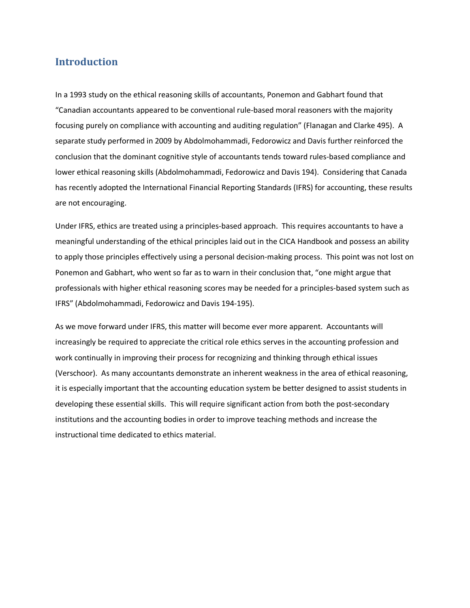## **Introduction**

In a 1993 study on the ethical reasoning skills of accountants, Ponemon and Gabhart found that "Canadian accountants appeared to be conventional rule-based moral reasoners with the majority focusing purely on compliance with accounting and auditing regulation" (Flanagan and Clarke 495). A separate study performed in 2009 by Abdolmohammadi, Fedorowicz and Davis further reinforced the conclusion that the dominant cognitive style of accountants tends toward rules-based compliance and lower ethical reasoning skills (Abdolmohammadi, Fedorowicz and Davis 194). Considering that Canada has recently adopted the International Financial Reporting Standards (IFRS) for accounting, these results are not encouraging.

Under IFRS, ethics are treated using a principles-based approach. This requires accountants to have a meaningful understanding of the ethical principles laid out in the CICA Handbook and possess an ability to apply those principles effectively using a personal decision-making process. This point was not lost on Ponemon and Gabhart, who went so far as to warn in their conclusion that, "one might argue that professionals with higher ethical reasoning scores may be needed for a principles-based system such as IFRS" (Abdolmohammadi, Fedorowicz and Davis 194-195).

As we move forward under IFRS, this matter will become ever more apparent. Accountants will increasingly be required to appreciate the critical role ethics serves in the accounting profession and work continually in improving their process for recognizing and thinking through ethical issues (Verschoor). As many accountants demonstrate an inherent weakness in the area of ethical reasoning, it is especially important that the accounting education system be better designed to assist students in developing these essential skills. This will require significant action from both the post-secondary institutions and the accounting bodies in order to improve teaching methods and increase the instructional time dedicated to ethics material.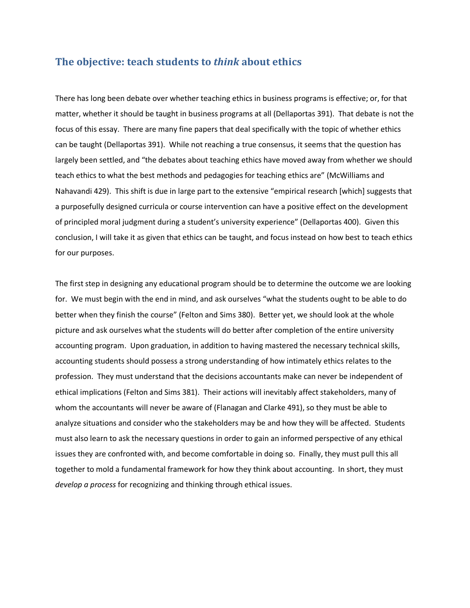#### **The objective: teach students to** *think* **about ethics**

There has long been debate over whether teaching ethics in business programs is effective; or, for that matter, whether it should be taught in business programs at all (Dellaportas 391). That debate is not the focus of this essay. There are many fine papers that deal specifically with the topic of whether ethics can be taught (Dellaportas 391). While not reaching a true consensus, it seems that the question has largely been settled, and "the debates about teaching ethics have moved away from whether we should teach ethics to what the best methods and pedagogies for teaching ethics are" (McWilliams and Nahavandi 429). This shift is due in large part to the extensive "empirical research [which] suggests that a purposefully designed curricula or course intervention can have a positive effect on the development of principled moral judgment during a student's university experience" (Dellaportas 400). Given this conclusion, I will take it as given that ethics can be taught, and focus instead on how best to teach ethics for our purposes.

The first step in designing any educational program should be to determine the outcome we are looking for. We must begin with the end in mind, and ask ourselves "what the students ought to be able to do better when they finish the course" (Felton and Sims 380). Better yet, we should look at the whole picture and ask ourselves what the students will do better after completion of the entire university accounting program. Upon graduation, in addition to having mastered the necessary technical skills, accounting students should possess a strong understanding of how intimately ethics relates to the profession. They must understand that the decisions accountants make can never be independent of ethical implications (Felton and Sims 381). Their actions will inevitably affect stakeholders, many of whom the accountants will never be aware of (Flanagan and Clarke 491), so they must be able to analyze situations and consider who the stakeholders may be and how they will be affected. Students must also learn to ask the necessary questions in order to gain an informed perspective of any ethical issues they are confronted with, and become comfortable in doing so. Finally, they must pull this all together to mold a fundamental framework for how they think about accounting. In short, they must *develop a process* for recognizing and thinking through ethical issues.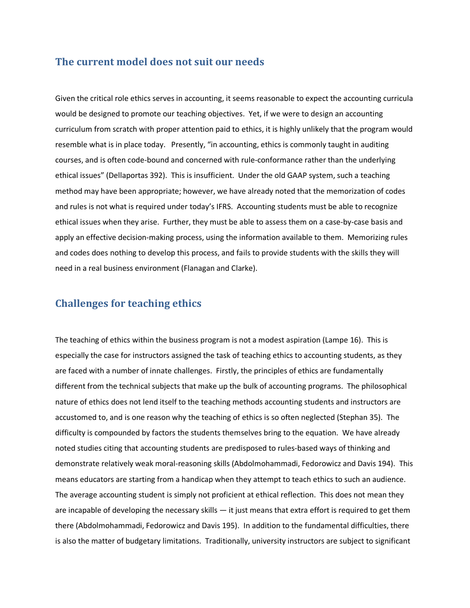#### **The current model does not suit our needs**

Given the critical role ethics serves in accounting, it seems reasonable to expect the accounting curricula would be designed to promote our teaching objectives. Yet, if we were to design an accounting curriculum from scratch with proper attention paid to ethics, it is highly unlikely that the program would resemble what is in place today. Presently, "in accounting, ethics is commonly taught in auditing courses, and is often code-bound and concerned with rule-conformance rather than the underlying ethical issues" (Dellaportas 392). This is insufficient. Under the old GAAP system, such a teaching method may have been appropriate; however, we have already noted that the memorization of codes and rules is not what is required under today's IFRS. Accounting students must be able to recognize ethical issues when they arise. Further, they must be able to assess them on a case-by-case basis and apply an effective decision-making process, using the information available to them. Memorizing rules and codes does nothing to develop this process, and fails to provide students with the skills they will need in a real business environment (Flanagan and Clarke).

# **Challenges for teaching ethics**

The teaching of ethics within the business program is not a modest aspiration (Lampe 16). This is especially the case for instructors assigned the task of teaching ethics to accounting students, as they are faced with a number of innate challenges. Firstly, the principles of ethics are fundamentally different from the technical subjects that make up the bulk of accounting programs. The philosophical nature of ethics does not lend itself to the teaching methods accounting students and instructors are accustomed to, and is one reason why the teaching of ethics is so often neglected (Stephan 35). The difficulty is compounded by factors the students themselves bring to the equation. We have already noted studies citing that accounting students are predisposed to rules-based ways of thinking and demonstrate relatively weak moral-reasoning skills (Abdolmohammadi, Fedorowicz and Davis 194). This means educators are starting from a handicap when they attempt to teach ethics to such an audience. The average accounting student is simply not proficient at ethical reflection. This does not mean they are incapable of developing the necessary skills — it just means that extra effort is required to get them there (Abdolmohammadi, Fedorowicz and Davis 195). In addition to the fundamental difficulties, there is also the matter of budgetary limitations. Traditionally, university instructors are subject to significant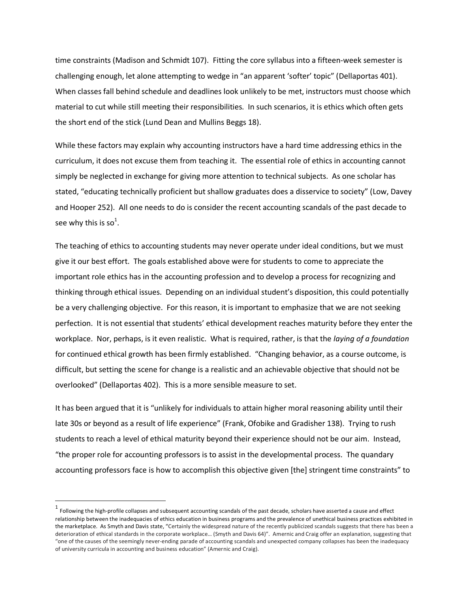time constraints (Madison and Schmidt 107). Fitting the core syllabus into a fifteen-week semester is challenging enough, let alone attempting to wedge in "an apparent 'softer' topic" (Dellaportas 401). When classes fall behind schedule and deadlines look unlikely to be met, instructors must choose which material to cut while still meeting their responsibilities. In such scenarios, it is ethics which often gets the short end of the stick (Lund Dean and Mullins Beggs 18).

While these factors may explain why accounting instructors have a hard time addressing ethics in the curriculum, it does not excuse them from teaching it. The essential role of ethics in accounting cannot simply be neglected in exchange for giving more attention to technical subjects. As one scholar has stated, "educating technically proficient but shallow graduates does a disservice to society" (Low, Davey and Hooper 252). All one needs to do is consider the recent accounting scandals of the past decade to see why this is so<sup>1</sup>.

The teaching of ethics to accounting students may never operate under ideal conditions, but we must give it our best effort. The goals established above were for students to come to appreciate the important role ethics has in the accounting profession and to develop a process for recognizing and thinking through ethical issues. Depending on an individual student's disposition, this could potentially be a very challenging objective. For this reason, it is important to emphasize that we are not seeking perfection. It is not essential that students' ethical development reaches maturity before they enter the workplace. Nor, perhaps, is it even realistic. What is required, rather, is that the *laying of a foundation* for continued ethical growth has been firmly established. "Changing behavior, as a course outcome, is difficult, but setting the scene for change is a realistic and an achievable objective that should not be overlooked" (Dellaportas 402). This is a more sensible measure to set.

It has been argued that it is "unlikely for individuals to attain higher moral reasoning ability until their late 30s or beyond as a result of life experience" (Frank, Ofobike and Gradisher 138). Trying to rush students to reach a level of ethical maturity beyond their experience should not be our aim. Instead, "the proper role for accounting professors is to assist in the developmental process.The quandary accounting professors face is how to accomplish this objective given [the] stringent time constraints" to

 $\overline{a}$ 

 $^1$  Following the high-profile collapses and subsequent accounting scandals of the past decade, scholars have asserted a cause and effect relationship between the inadequacies of ethics education in business programs and the prevalence of unethical business practices exhibited in the marketplace. As Smyth and Davis state, "Certainly the widespread nature of the recently publicized scandals suggests that there has been a deterioration of ethical standards in the corporate workplace… (Smyth and Davis 64)". Amernic and Craig offer an explanation, suggesting that "one of the causes of the seemingly never-ending parade of accounting scandals and unexpected company collapses has been the inadequacy of university curricula in accounting and business education" (Amernic and Craig).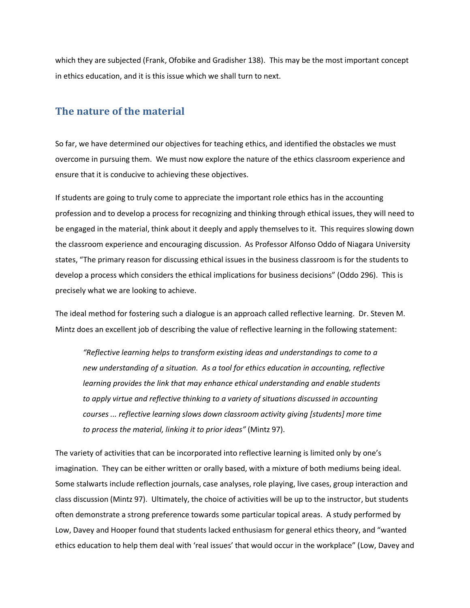which they are subjected (Frank, Ofobike and Gradisher 138). This may be the most important concept in ethics education, and it is this issue which we shall turn to next.

## **The nature of the material**

So far, we have determined our objectives for teaching ethics, and identified the obstacles we must overcome in pursuing them. We must now explore the nature of the ethics classroom experience and ensure that it is conducive to achieving these objectives.

If students are going to truly come to appreciate the important role ethics has in the accounting profession and to develop a process for recognizing and thinking through ethical issues, they will need to be engaged in the material, think about it deeply and apply themselves to it. This requires slowing down the classroom experience and encouraging discussion. As Professor Alfonso Oddo of Niagara University states, "The primary reason for discussing ethical issues in the business classroom is for the students to develop a process which considers the ethical implications for business decisions" (Oddo 296). This is precisely what we are looking to achieve.

The ideal method for fostering such a dialogue is an approach called reflective learning. Dr. Steven M. Mintz does an excellent job of describing the value of reflective learning in the following statement:

*"Reflective learning helps to transform existing ideas and understandings to come to a new understanding of a situation. As a tool for ethics education in accounting, reflective learning provides the link that may enhance ethical understanding and enable students to apply virtue and reflective thinking to a variety of situations discussed in accounting courses ... reflective learning slows down classroom activity giving [students] more time to process the material, linking it to prior ideas"* (Mintz 97).

The variety of activities that can be incorporated into reflective learning is limited only by one's imagination. They can be either written or orally based, with a mixture of both mediums being ideal. Some stalwarts include reflection journals, case analyses, role playing, live cases, group interaction and class discussion (Mintz 97). Ultimately, the choice of activities will be up to the instructor, but students often demonstrate a strong preference towards some particular topical areas. A study performed by Low, Davey and Hooper found that students lacked enthusiasm for general ethics theory, and "wanted ethics education to help them deal with 'real issues' that would occur in the workplace" (Low, Davey and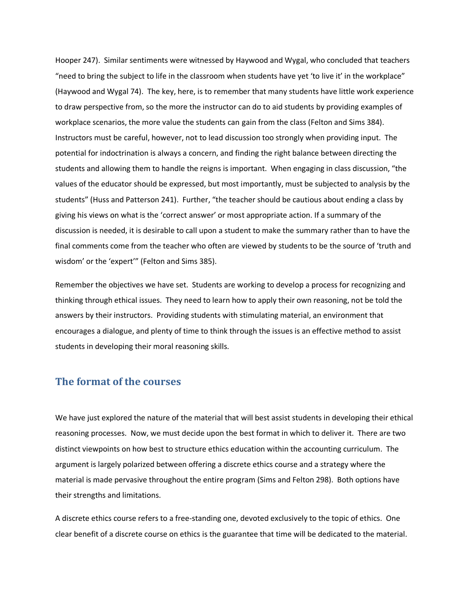Hooper 247). Similar sentiments were witnessed by Haywood and Wygal, who concluded that teachers "need to bring the subject to life in the classroom when students have yet 'to live it' in the workplace" (Haywood and Wygal 74). The key, here, is to remember that many students have little work experience to draw perspective from, so the more the instructor can do to aid students by providing examples of workplace scenarios, the more value the students can gain from the class (Felton and Sims 384). Instructors must be careful, however, not to lead discussion too strongly when providing input. The potential for indoctrination is always a concern, and finding the right balance between directing the students and allowing them to handle the reigns is important. When engaging in class discussion, "the values of the educator should be expressed, but most importantly, must be subjected to analysis by the students" (Huss and Patterson 241). Further, "the teacher should be cautious about ending a class by giving his views on what is the 'correct answer' or most appropriate action. If a summary of the discussion is needed, it is desirable to call upon a student to make the summary rather than to have the final comments come from the teacher who often are viewed by students to be the source of 'truth and wisdom' or the 'expert'" (Felton and Sims 385).

Remember the objectives we have set. Students are working to develop a process for recognizing and thinking through ethical issues. They need to learn how to apply their own reasoning, not be told the answers by their instructors. Providing students with stimulating material, an environment that encourages a dialogue, and plenty of time to think through the issues is an effective method to assist students in developing their moral reasoning skills.

#### **The format of the courses**

We have just explored the nature of the material that will best assist students in developing their ethical reasoning processes. Now, we must decide upon the best format in which to deliver it. There are two distinct viewpoints on how best to structure ethics education within the accounting curriculum. The argument is largely polarized between offering a discrete ethics course and a strategy where the material is made pervasive throughout the entire program (Sims and Felton 298). Both options have their strengths and limitations.

A discrete ethics course refers to a free-standing one, devoted exclusively to the topic of ethics. One clear benefit of a discrete course on ethics is the guarantee that time will be dedicated to the material.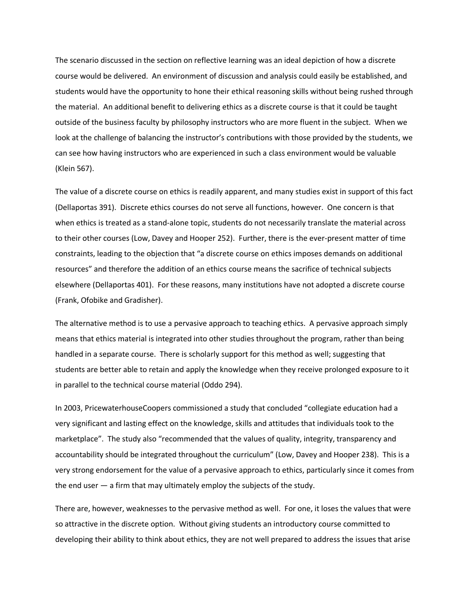The scenario discussed in the section on reflective learning was an ideal depiction of how a discrete course would be delivered. An environment of discussion and analysis could easily be established, and students would have the opportunity to hone their ethical reasoning skills without being rushed through the material. An additional benefit to delivering ethics as a discrete course is that it could be taught outside of the business faculty by philosophy instructors who are more fluent in the subject. When we look at the challenge of balancing the instructor's contributions with those provided by the students, we can see how having instructors who are experienced in such a class environment would be valuable (Klein 567).

The value of a discrete course on ethics is readily apparent, and many studies exist in support of this fact (Dellaportas 391). Discrete ethics courses do not serve all functions, however. One concern is that when ethics is treated as a stand-alone topic, students do not necessarily translate the material across to their other courses (Low, Davey and Hooper 252). Further, there is the ever-present matter of time constraints, leading to the objection that "a discrete course on ethics imposes demands on additional resources" and therefore the addition of an ethics course means the sacrifice of technical subjects elsewhere (Dellaportas 401). For these reasons, many institutions have not adopted a discrete course (Frank, Ofobike and Gradisher).

The alternative method is to use a pervasive approach to teaching ethics. A pervasive approach simply means that ethics material is integrated into other studies throughout the program, rather than being handled in a separate course. There is scholarly support for this method as well; suggesting that students are better able to retain and apply the knowledge when they receive prolonged exposure to it in parallel to the technical course material (Oddo 294).

In 2003, PricewaterhouseCoopers commissioned a study that concluded "collegiate education had a very significant and lasting effect on the knowledge, skills and attitudes that individuals took to the marketplace". The study also "recommended that the values of quality, integrity, transparency and accountability should be integrated throughout the curriculum" (Low, Davey and Hooper 238). This is a very strong endorsement for the value of a pervasive approach to ethics, particularly since it comes from the end user — a firm that may ultimately employ the subjects of the study.

There are, however, weaknesses to the pervasive method as well. For one, it loses the values that were so attractive in the discrete option. Without giving students an introductory course committed to developing their ability to think about ethics, they are not well prepared to address the issues that arise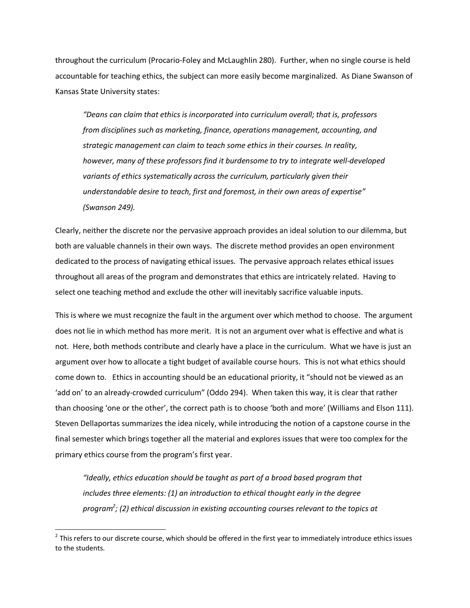throughout the curriculum (Procario-Foley and McLaughlin 280). Further, when no single course is held accountable for teaching ethics, the subject can more easily become marginalized. As Diane Swanson of Kansas State University states:

*"Deans can claim that ethics is incorporated into curriculum overall; that is, professors from disciplines such as marketing, finance, operations management, accounting, and strategic management can claim to teach some ethics in their courses. In reality, however, many of these professors find it burdensome to try to integrate well-developed variants of ethics systematically across the curriculum, particularly given their understandable desire to teach, first and foremost, in their own areas of expertise" (Swanson 249).* 

Clearly, neither the discrete nor the pervasive approach provides an ideal solution to our dilemma, but both are valuable channels in their own ways. The discrete method provides an open environment dedicated to the process of navigating ethical issues. The pervasive approach relates ethical issues throughout all areas of the program and demonstrates that ethics are intricately related. Having to select one teaching method and exclude the other will inevitably sacrifice valuable inputs.

This is where we must recognize the fault in the argument over which method to choose. The argument does not lie in which method has more merit. It is not an argument over what is effective and what is not. Here, both methods contribute and clearly have a place in the curriculum. What we have is just an argument over how to allocate a tight budget of available course hours. This is not what ethics should come down to. Ethics in accounting should be an educational priority, it "should not be viewed as an 'add on' to an already-crowded curriculum" (Oddo 294). When taken this way, it is clear that rather than choosing 'one or the other', the correct path is to choose 'both and more' (Williams and Elson 111). Steven Dellaportas summarizes the idea nicely, while introducing the notion of a capstone course in the final semester which brings together all the material and explores issues that were too complex for the primary ethics course from the program's first year.

*"Ideally, ethics education should be taught as part of a broad based program that includes three elements: (1) an introduction to ethical thought early in the degree program<sup>2</sup> ; (2) ethical discussion in existing accounting courses relevant to the topics at* 

l

 $^2$  This refers to our discrete course, which should be offered in the first year to immediately introduce ethics issues to the students.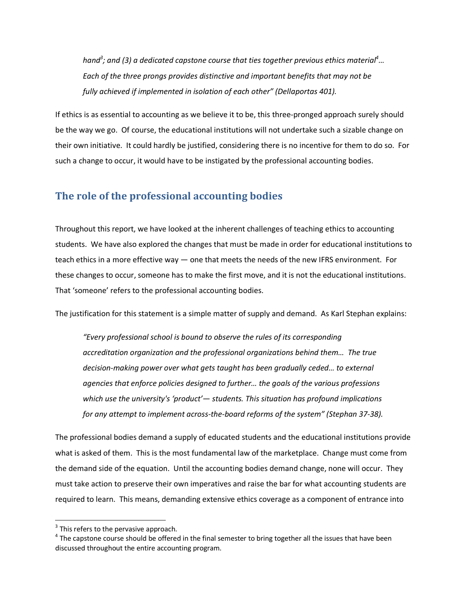*hand<sup>3</sup> ; and (3) a dedicated capstone course that ties together previous ethics material<sup>4</sup>… Each of the three prongs provides distinctive and important benefits that may not be fully achieved if implemented in isolation of each other" (Dellaportas 401).* 

If ethics is as essential to accounting as we believe it to be, this three-pronged approach surely should be the way we go. Of course, the educational institutions will not undertake such a sizable change on their own initiative. It could hardly be justified, considering there is no incentive for them to do so. For such a change to occur, it would have to be instigated by the professional accounting bodies.

## **The role of the professional accounting bodies**

Throughout this report, we have looked at the inherent challenges of teaching ethics to accounting students. We have also explored the changes that must be made in order for educational institutions to teach ethics in a more effective way — one that meets the needs of the new IFRS environment. For these changes to occur, someone has to make the first move, and it is not the educational institutions. That 'someone' refers to the professional accounting bodies.

The justification for this statement is a simple matter of supply and demand. As Karl Stephan explains:

*"Every professional school is bound to observe the rules of its corresponding accreditation organization and the professional organizations behind them… The true decision-making power over what gets taught has been gradually ceded… to external agencies that enforce policies designed to further… the goals of the various professions which use the university's 'product'— students. This situation has profound implications for any attempt to implement across-the-board reforms of the system" (Stephan 37-38).* 

The professional bodies demand a supply of educated students and the educational institutions provide what is asked of them. This is the most fundamental law of the marketplace. Change must come from the demand side of the equation. Until the accounting bodies demand change, none will occur. They must take action to preserve their own imperatives and raise the bar for what accounting students are required to learn. This means, demanding extensive ethics coverage as a component of entrance into

 $\overline{a}$ 

 $3$  This refers to the pervasive approach.

 $^4$  The capstone course should be offered in the final semester to bring together all the issues that have been discussed throughout the entire accounting program.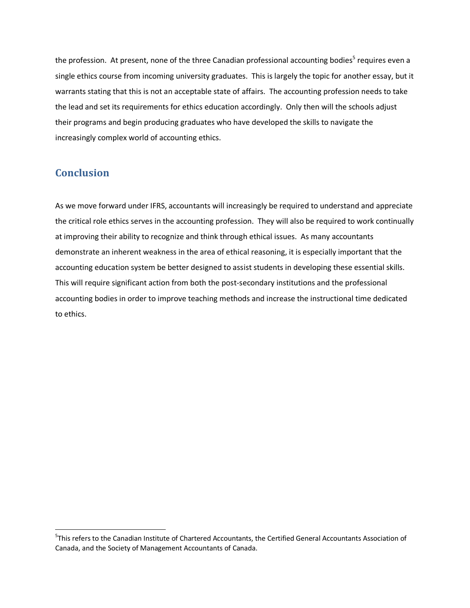the profession. At present, none of the three Canadian professional accounting bodies<sup>5</sup> requires even a single ethics course from incoming university graduates. This is largely the topic for another essay, but it warrants stating that this is not an acceptable state of affairs. The accounting profession needs to take the lead and set its requirements for ethics education accordingly. Only then will the schools adjust their programs and begin producing graduates who have developed the skills to navigate the increasingly complex world of accounting ethics.

# **Conclusion**

l

As we move forward under IFRS, accountants will increasingly be required to understand and appreciate the critical role ethics serves in the accounting profession. They will also be required to work continually at improving their ability to recognize and think through ethical issues. As many accountants demonstrate an inherent weakness in the area of ethical reasoning, it is especially important that the accounting education system be better designed to assist students in developing these essential skills. This will require significant action from both the post-secondary institutions and the professional accounting bodies in order to improve teaching methods and increase the instructional time dedicated to ethics.

<sup>&</sup>lt;sup>5</sup>This refers to the Canadian Institute of Chartered Accountants, the Certified General Accountants Association of Canada, and the Society of Management Accountants of Canada.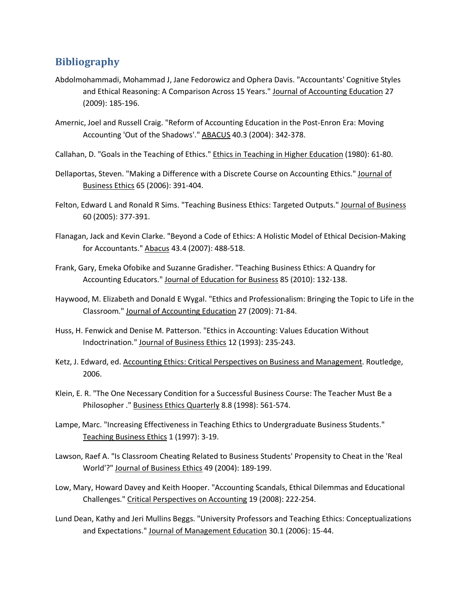## **Bibliography**

- Abdolmohammadi, Mohammad J, Jane Fedorowicz and Ophera Davis. "Accountants' Cognitive Styles and Ethical Reasoning: A Comparison Across 15 Years." Journal of Accounting Education 27 (2009): 185-196.
- Amernic, Joel and Russell Craig. "Reform of Accounting Education in the Post-Enron Era: Moving Accounting 'Out of the Shadows'." ABACUS 40.3 (2004): 342-378.
- Callahan, D. "Goals in the Teaching of Ethics." Ethics in Teaching in Higher Education (1980): 61-80.
- Dellaportas, Steven. "Making a Difference with a Discrete Course on Accounting Ethics." Journal of Business Ethics 65 (2006): 391-404.
- Felton, Edward L and Ronald R Sims. "Teaching Business Ethics: Targeted Outputs." Journal of Business 60 (2005): 377-391.
- Flanagan, Jack and Kevin Clarke. "Beyond a Code of Ethics: A Holistic Model of Ethical Decision-Making for Accountants." Abacus 43.4 (2007): 488-518.
- Frank, Gary, Emeka Ofobike and Suzanne Gradisher. "Teaching Business Ethics: A Quandry for Accounting Educators." Journal of Education for Business 85 (2010): 132-138.
- Haywood, M. Elizabeth and Donald E Wygal. "Ethics and Professionalism: Bringing the Topic to Life in the Classroom." Journal of Accounting Education 27 (2009): 71-84.
- Huss, H. Fenwick and Denise M. Patterson. "Ethics in Accounting: Values Education Without Indoctrination." Journal of Business Ethics 12 (1993): 235-243.
- Ketz, J. Edward, ed. Accounting Ethics: Critical Perspectives on Business and Management. Routledge, 2006.
- Klein, E. R. "The One Necessary Condition for a Successful Business Course: The Teacher Must Be a Philosopher ." Business Ethics Quarterly 8.8 (1998): 561-574.
- Lampe, Marc. "Increasing Effectiveness in Teaching Ethics to Undergraduate Business Students." Teaching Business Ethics 1 (1997): 3-19.
- Lawson, Raef A. "Is Classroom Cheating Related to Business Students' Propensity to Cheat in the 'Real World'?" Journal of Business Ethics 49 (2004): 189-199.
- Low, Mary, Howard Davey and Keith Hooper. "Accounting Scandals, Ethical Dilemmas and Educational Challenges." Critical Perspectives on Accounting 19 (2008): 222-254.
- Lund Dean, Kathy and Jeri Mullins Beggs. "University Professors and Teaching Ethics: Conceptualizations and Expectations." Journal of Management Education 30.1 (2006): 15-44.